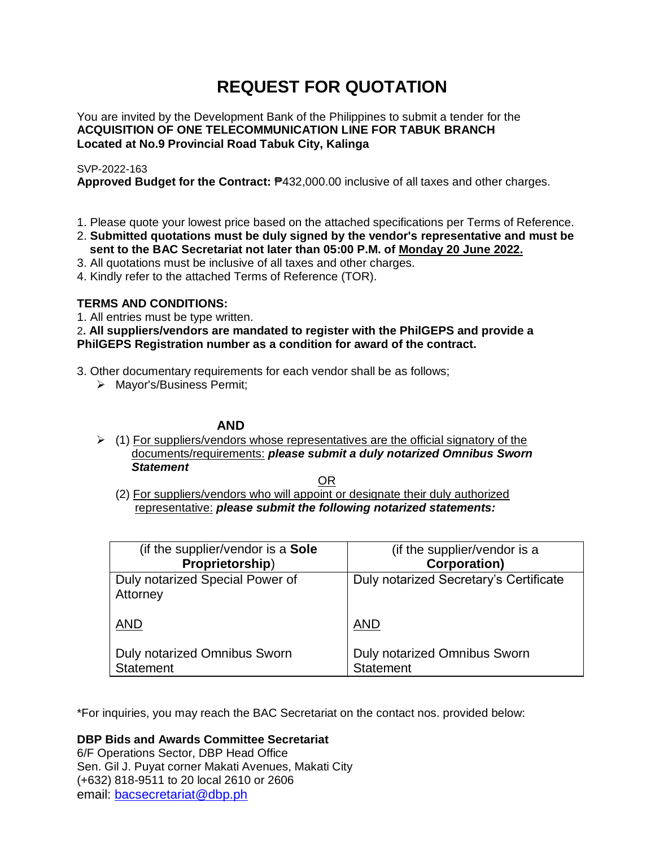# **REQUEST FOR QUOTATION**

You are invited by the Development Bank of the Philippines to submit a tender for the **ACQUISITION OF ONE TELECOMMUNICATION LINE FOR TABUK BRANCH Located at No.9 Provincial Road Tabuk City, Kalinga**

# SVP-2022-163

**Approved Budget for the Contract:** ₱432,000.00 inclusive of all taxes and other charges.

- 1. Please quote your lowest price based on the attached specifications per Terms of Reference.
- 2. **Submitted quotations must be duly signed by the vendor's representative and must be sent to the BAC Secretariat not later than 05:00 P.M. of Monday 20 June 2022.**
- 3. All quotations must be inclusive of all taxes and other charges.
- 4. Kindly refer to the attached Terms of Reference (TOR).

# **TERMS AND CONDITIONS:**

1. All entries must be type written.

2**. All suppliers/vendors are mandated to register with the PhilGEPS and provide a PhilGEPS Registration number as a condition for award of the contract.**

- 3. Other documentary requirements for each vendor shall be as follows;
	- > Mayor's/Business Permit;

# **AND**

 $\geq$  (1) For suppliers/vendors whose representatives are the official signatory of the documents/requirements: *please submit a duly notarized Omnibus Sworn Statement*

<u>OR Starting and the Starting OR Starting</u>

(2) For suppliers/vendors who will appoint or designate their duly authorized representative: *please submit the following notarized statements:*

| (if the supplier/vendor is a Sole                | (if the supplier/vendor is a                     |
|--------------------------------------------------|--------------------------------------------------|
| Proprietorship)                                  | <b>Corporation)</b>                              |
| Duly notarized Special Power of<br>Attorney      | Duly notarized Secretary's Certificate           |
| <b>AND</b>                                       | <b>AND</b>                                       |
| Duly notarized Omnibus Sworn<br><b>Statement</b> | Duly notarized Omnibus Sworn<br><b>Statement</b> |

\*For inquiries, you may reach the BAC Secretariat on the contact nos. provided below:

**DBP Bids and Awards Committee Secretariat** 

6/F Operations Sector, DBP Head Office Sen. Gil J. Puyat corner Makati Avenues, Makati City (+632) 818-9511 to 20 local 2610 or 2606 email: [bacsecretariat@dbp.ph](mailto:bacsecretariat@dbp.ph)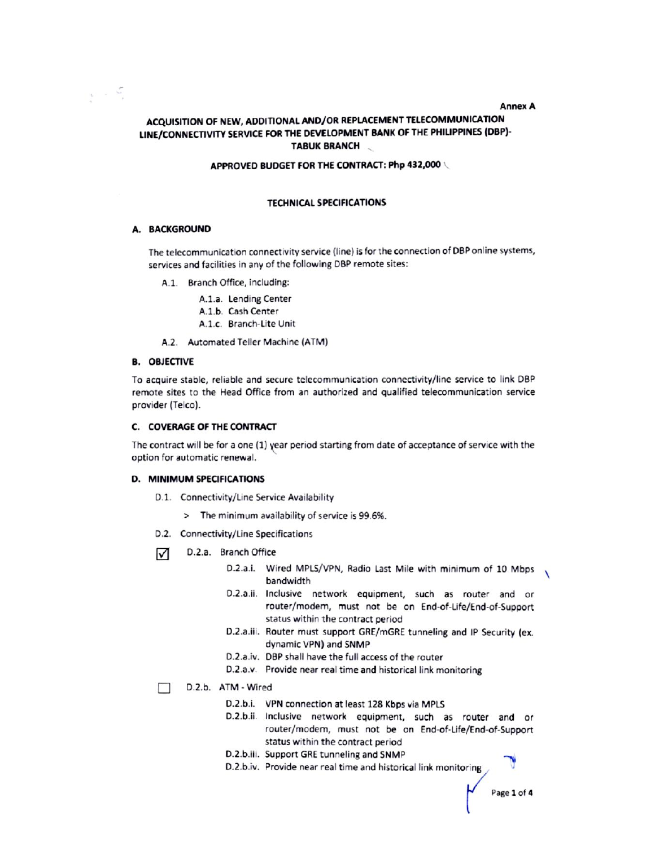## **Annex A**

# ACQUISITION OF NEW, ADDITIONAL AND/OR REPLACEMENT TELECOMMUNICATION LINE/CONNECTIVITY SERVICE FOR THE DEVELOPMENT BANK OF THE PHILIPPINES (DBP)-**TABUK BRANCH**

## APPROVED BUDGET FOR THE CONTRACT: Php 432,000

## **TECHNICAL SPECIFICATIONS**

## A. BACKGROUND

 $\mathcal{L} \rightarrow \mathcal{L}$ 

The telecommunication connectivity service (line) is for the connection of DBP online systems, services and facilities in any of the following DBP remote sites:

- A.1. Branch Office, including:
	- A.1.a. Lending Center
	- A.1.b. Cash Center
	- A.1.c. Branch-Lite Unit
- A.2. Automated Teller Machine (ATM)

#### **B. OBJECTIVE**

To acquire stable, reliable and secure telecommunication connectivity/line service to link DBP remote sites to the Head Office from an authorized and qualified telecommunication service provider (Telco).

#### **C. COVERAGE OF THE CONTRACT**

The contract will be for a one (1) year period starting from date of acceptance of service with the option for automatic renewal.

#### **D. MINIMUM SPECIFICATIONS**

- D.1. Connectivity/Line Service Availability
	- > The minimum availability of service is 99.6%.
- D.2. Connectivity/Line Specifications
- D.2.a. Branch Office ☑
	- D.2.a.i. Wired MPLS/VPN, Radio Last Mile with minimum of 10 Mbps bandwidth
	- D.2.a.ii. Inclusive network equipment, such as router and or router/modem, must not be on End-of-Life/End-of-Support status within the contract period
	- D.2.a.iii. Router must support GRE/mGRE tunneling and IP Security (ex. dynamic VPN) and SNMP
	- D.2.a.iv. DBP shall have the full access of the router
	- D.2.a.v. Provide near real time and historical link monitoring
- D.2.b. ATM Wired
	- D.2.b.i. VPN connection at least 128 Kbps via MPLS
	- D.2.b.ii. Inclusive network equipment, such as router and or router/modern, must not be on End-of-Life/End-of-Support status within the contract period
	- D.2.b.iii. Support GRE tunneling and SNMP
	- D.2.b.iv. Provide near real time and historical link monitoring

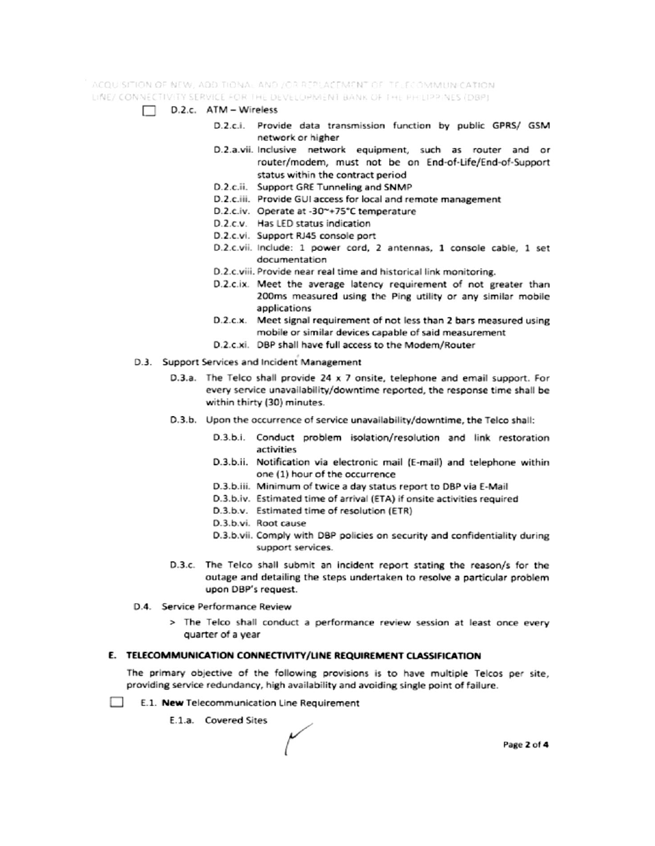ACQUISITION OF NEW, ADDITIONAL AND JOR REPLACEMENT OF TELECOMMUNICATION. LINE/ CONNECTIVITY SERVICE FOR THE DEVELOPMENT BANK OF THE PHILIPPINES (DBP)

- $\Box$  D.2.c. ATM Wireless
	- D.2.c.i. Provide data transmission function by public GPRS/ GSM network or higher
	- D.2.a.vii. Inclusive network equipment, such as router and or router/modem, must not be on End-of-Life/End-of-Support status within the contract period
	- D.2.c.ii. Support GRE Tunneling and SNMP
	- D.2.c.iii. Provide GUI access for local and remote management
	- D.2.c.iv. Operate at -30~+75°C temperature
	- D.2.c.v. Has LED status indication
	- D.2.c.vi. Support RJ45 console port
	- D.2.c.vii. Include: 1 power cord, 2 antennas, 1 console cable, 1 set documentation
	- D.2.c.viii. Provide near real time and historical link monitoring.
	- D.2.c.ix. Meet the average latency requirement of not greater than 200ms measured using the Ping utility or any similar mobile applications
	- D.2.c.x. Meet signal requirement of not less than 2 bars measured using mobile or similar devices capable of said measurement
	- D.2.c.xi. DBP shall have full access to the Modem/Router
- D.3. Support Services and Incident Management
	- D.3.a. The Telco shall provide 24 x 7 onsite, telephone and email support. For every service unavailability/downtime reported, the response time shall be within thirty (30) minutes.
	- D.3.b. Upon the occurrence of service unavailability/downtime, the Telco shall:
		- D.3.b.i. Conduct problem isolation/resolution and link restoration activities
		- D.3.b.ii. Notification via electronic mail (E-mail) and telephone within one (1) hour of the occurrence
		- D.3.b.iii. Minimum of twice a day status report to DBP via E-Mail
		- D.3.b.iv. Estimated time of arrival (ETA) if onsite activities required
		- D.3.b.v. Estimated time of resolution (ETR)
		- D.3.b.vi. Root cause
		- D.3.b.vii. Comply with DBP policies on security and confidentiality during support services.
	- D.3.c. The Telco shall submit an incident report stating the reason/s for the outage and detailing the steps undertaken to resolve a particular problem upon DBP's request.
- D.4. Service Performance Review
	- > The Telco shall conduct a performance review session at least once every quarter of a year

## E. TELECOMMUNICATION CONNECTIVITY/LINE REQUIREMENT CLASSIFICATION

The primary objective of the following provisions is to have multiple Telcos per site, providing service redundancy, high availability and avoiding single point of failure.

- $\sim$ E.1. New Telecommunication Line Requirement
	- E.1.a. Covered Sites

Page 2 of 4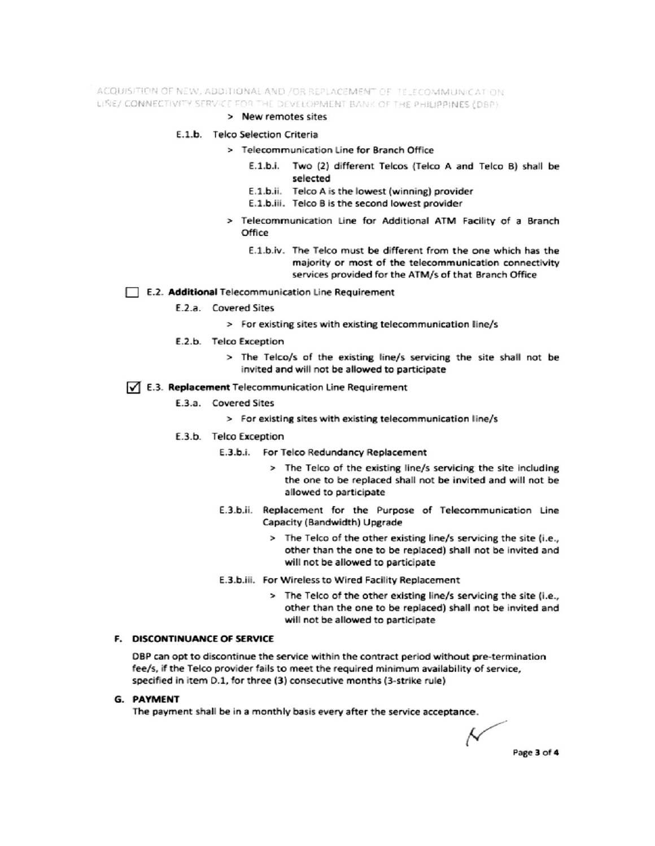ACQUISITION OF NEW, ADDITIONAL AND /OR REPLACEMENT OF TELECOMMUNICATION LINE/ CONNECTIVITY SERVICE FOR THE DEVELOPMENT BANK OF THE PHILIPPINES (DBP)

## > New remotes sites

## E.1.b. Telco Selection Criteria

- > Telecommunication Line for Branch Office
	- E.1.b.i. Two (2) different Telcos (Telco A and Telco B) shall be selected
	- E.1.b.ii. Telco A is the lowest (winning) provider
	- E.1.b.iii. Telco B is the second lowest provider
- > Telecommunication Line for Additional ATM Facility of a Branch Office
	- E.1.b.iv. The Telco must be different from the one which has the majority or most of the telecommunication connectivity services provided for the ATM/s of that Branch Office

## E.2. Additional Telecommunication Line Requirement

- E.2.a. Covered Sites
	- > For existing sites with existing telecommunication line/s
- E.2.b. Telco Exception
	- > The Telco/s of the existing line/s servicing the site shall not be invited and will not be allowed to participate

## √ E.3. Replacement Telecommunication Line Requirement

- E.3.a. Covered Sites
	- > For existing sites with existing telecommunication line/s
- E.3.b. Telco Exception
	- E.3.b.i. For Telco Redundancy Replacement
		- > The Telco of the existing line/s servicing the site including the one to be replaced shall not be invited and will not be allowed to participate
	- E.3.b.ii. Replacement for the Purpose of Telecommunication Line Capacity (Bandwidth) Upgrade
		- > The Telco of the other existing line/s servicing the site (i.e., other than the one to be replaced) shall not be invited and will not be allowed to participate
	- E.3.b.iii. For Wireless to Wired Facility Replacement
		- > The Telco of the other existing line/s servicing the site (i.e., other than the one to be replaced) shall not be invited and will not be allowed to participate

# F. DISCONTINUANCE OF SERVICE

DBP can opt to discontinue the service within the contract period without pre-termination fee/s, if the Telco provider fails to meet the required minimum availability of service, specified in item D.1, for three (3) consecutive months (3-strike rule)

## **G. PAYMENT**

The payment shall be in a monthly basis every after the service acceptance.

Ν Page 3 of 4